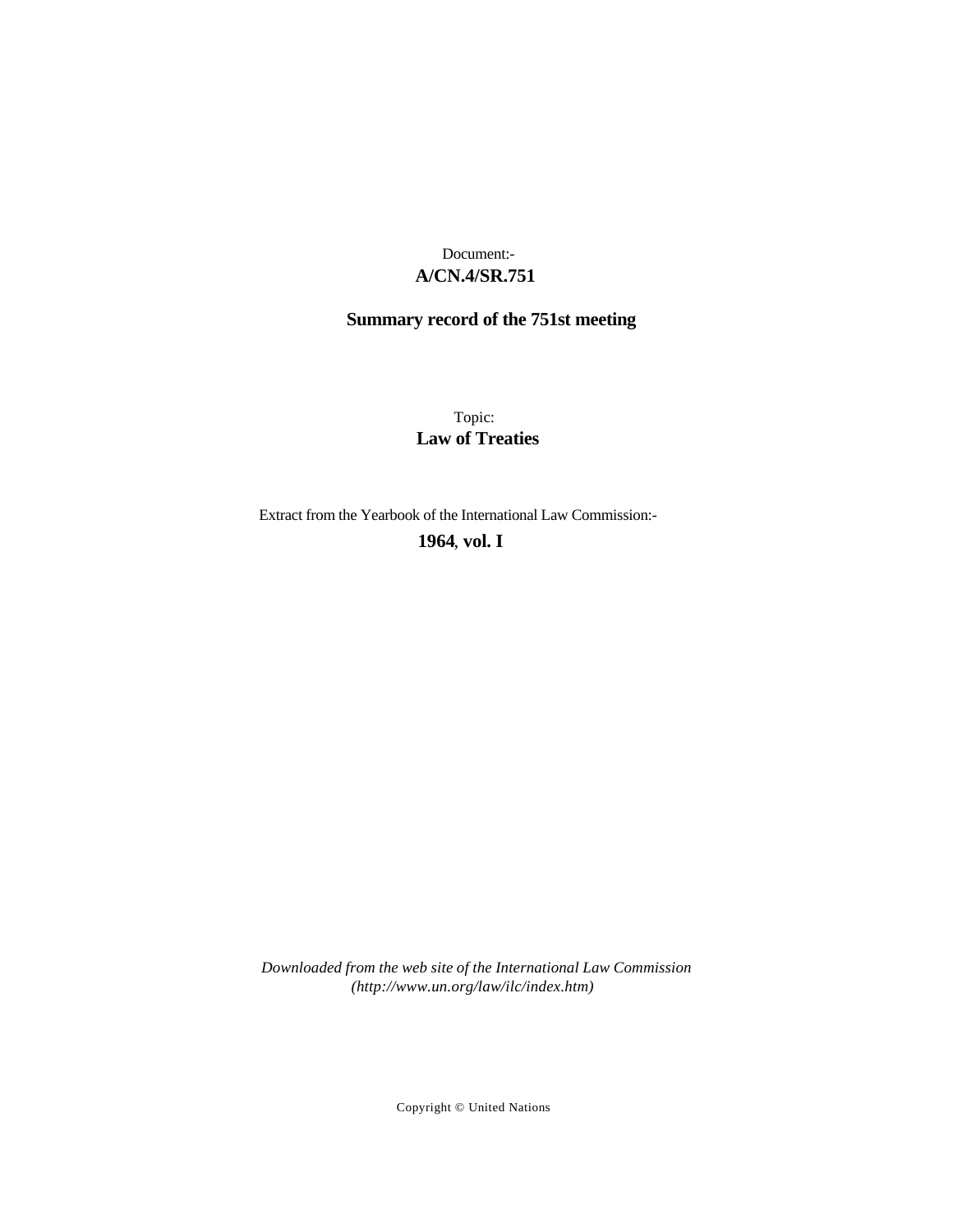# **A/CN.4/SR.751** Document:-

# **Summary record of the 751st meeting**

Topic: **Law of Treaties**

Extract from the Yearbook of the International Law Commission:-

**1964** , **vol. I**

*Downloaded from the web site of the International Law Commission (http://www.un.org/law/ilc/index.htm)*

Copyright © United Nations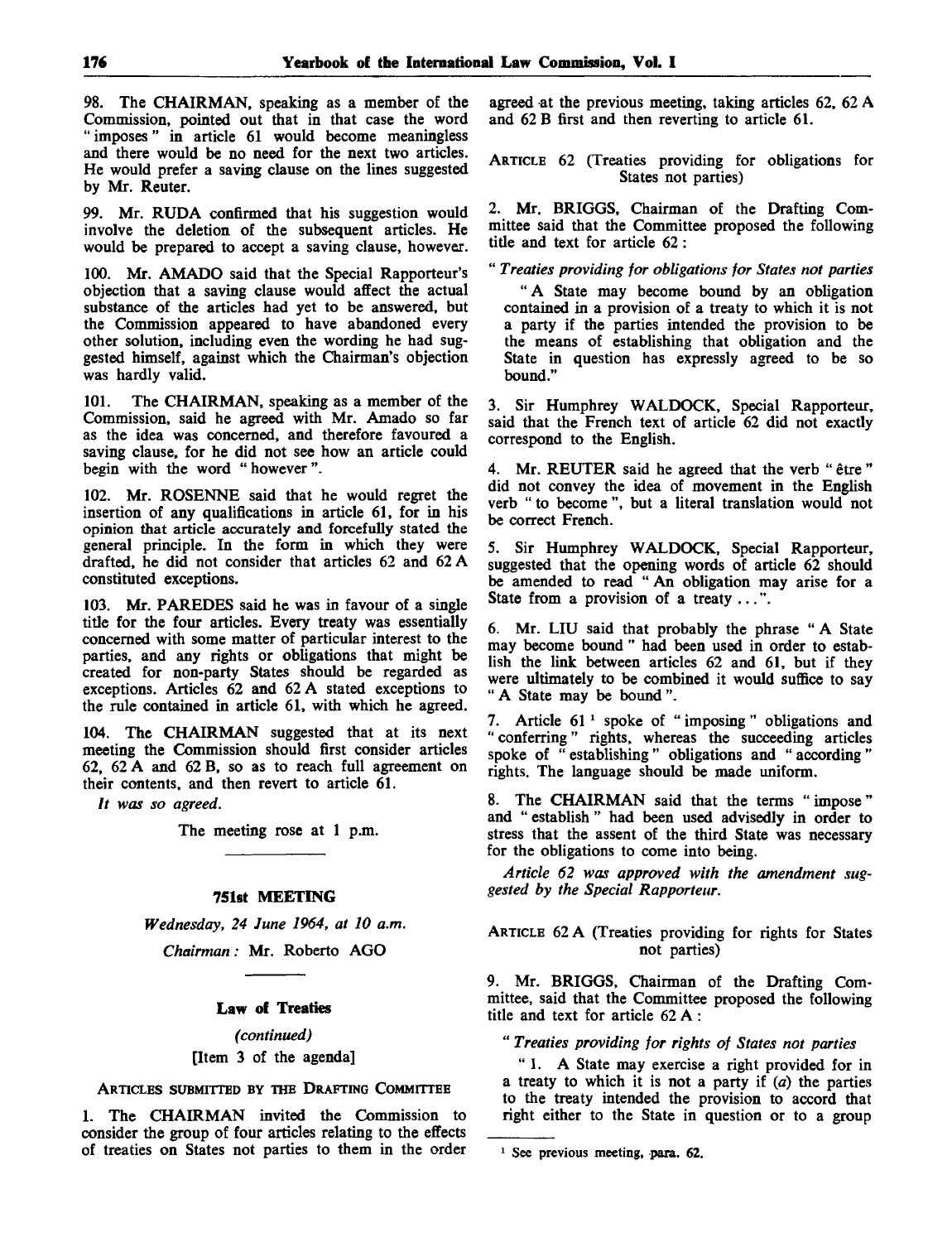98. The CHAIRMAN, speaking as a member of the Commission, pointed out that in that case the word " imposes" in article 61 would become meaningless and there would be no need for the next two articles. He would prefer a saving clause on the lines suggested by Mr. Reuter.

99. Mr. RUDA confirmed that his suggestion would involve the deletion of the subsequent articles. He would be prepared to accept a saving clause, however.

100. Mr. AMADO said that the Special Rapporteur's objection that a saving clause would affect the actual substance of the articles had yet to be answered, but the Commission appeared to have abandoned every other solution, including even the wording he had suggested himself, against which the Chairman's objection was hardly valid.

101. The CHAIRMAN, speaking as a member of the Commission, said he agreed with Mr. Amado so far as the idea was concerned, and therefore favoured a saving clause, for he did not see how an article could begin with the word "however".

102. Mr. ROSENNE said that he would regret the insertion of any qualifications in article 61, for in his opinion that article accurately and forcefully stated the general principle. In the form in which they were drafted, he did not consider that articles 62 and 62 A constituted exceptions.

103. Mr. PAREDES said he was in favour of a single title for the four articles. Every treaty was essentially concerned with some matter of particular interest to the parties, and any rights or obligations that might be created for non-party States should be regarded as exceptions. Articles 62 and 62 A stated exceptions to the rule contained in article 61, with which he agreed.

104. The CHAIRMAN suggested that at its next meeting the Commission should first consider articles 62, 62 A and 62 B, so as to reach full agreement on their contents, and then revert to article 61.

*It was so agreed.*

The meeting rose at 1 p.m.

#### 751st MEETING

*Wednesday, 24 June 1964, at 10 a.m.*

*Chairman:* Mr. Roberto AGO

## Law of Treaties

*(continued)* [Item 3 of the agenda]

ARTICLES SUBMITTED BY THE DRAFTING COMMITTEE

1. The CHAIRMAN invited the Commission to consider the group of four articles relating to the effects of treaties on States not parties to them in the order agreed at the previous meeting, taking articles 62, 62 A and 62 B first and then reverting to article 61.

ARTICLE 62 (Treaties providing for obligations for States not parties)

2. Mr. BRIGGS, Chairman of the Drafting Committee said that the Committee proposed the following title and text for article 62:

" *Treaties providing for obligations for States not parties*

*"* A State may become bound by an obligation contained in a provision of a treaty to which it is not a party if the parties intended the provision to be the means of establishing that obligation and the State in question has expressly agreed to be so bound."

3. Sir Humphrey WALDOCK, Special Rapporteur, said that the French text of article 62 did not exactly correspond to the English.

4. Mr. REUTER said he agreed that the verb " être " did not convey the idea of movement in the English verb " to become ", but a literal translation would not be correct French.

5. Sir Humphrey WALDOCK, Special Rapporteur, suggested that the opening words of article 62 should be amended to read " An obligation may arise for a State from a provision of a treaty ...".

6. Mr. LIU said that probably the phrase "A State may become bound " had been used in order to establish the link between articles 62 and 61, but if they were ultimately to be combined it would suffice to say " A State may be bound ".

7. Article 61 <sup>1</sup> spoke of " imposing " obligations and " conferring" rights, whereas the succeeding articles spoke of " establishing " obligations and " according " rights. The language should be made uniform.

8. The CHAIRMAN said that the terms "impose" and " establish " had been used advisedly in order to stress that the assent of the third State was necessary for the obligations to come into being.

*Article 62 was approved with the amendment suggested by the Special Rapporteur.*

ARTICLE 62 A (Treaties providing for rights for States not parties)

9. Mr. BRIGGS, Chairman of the Drafting Committee, said that the Committee proposed the following title and text for article 62 A:

" *Treaties providing for rights of States not parties*

" 1. A State may exercise a right provided for in a treaty to which it is not a party if *(a)* the parties to the treaty intended the provision to accord that right either to the State in question or to a group

<sup>&</sup>lt;sup>1</sup> See previous meeting, para. 62.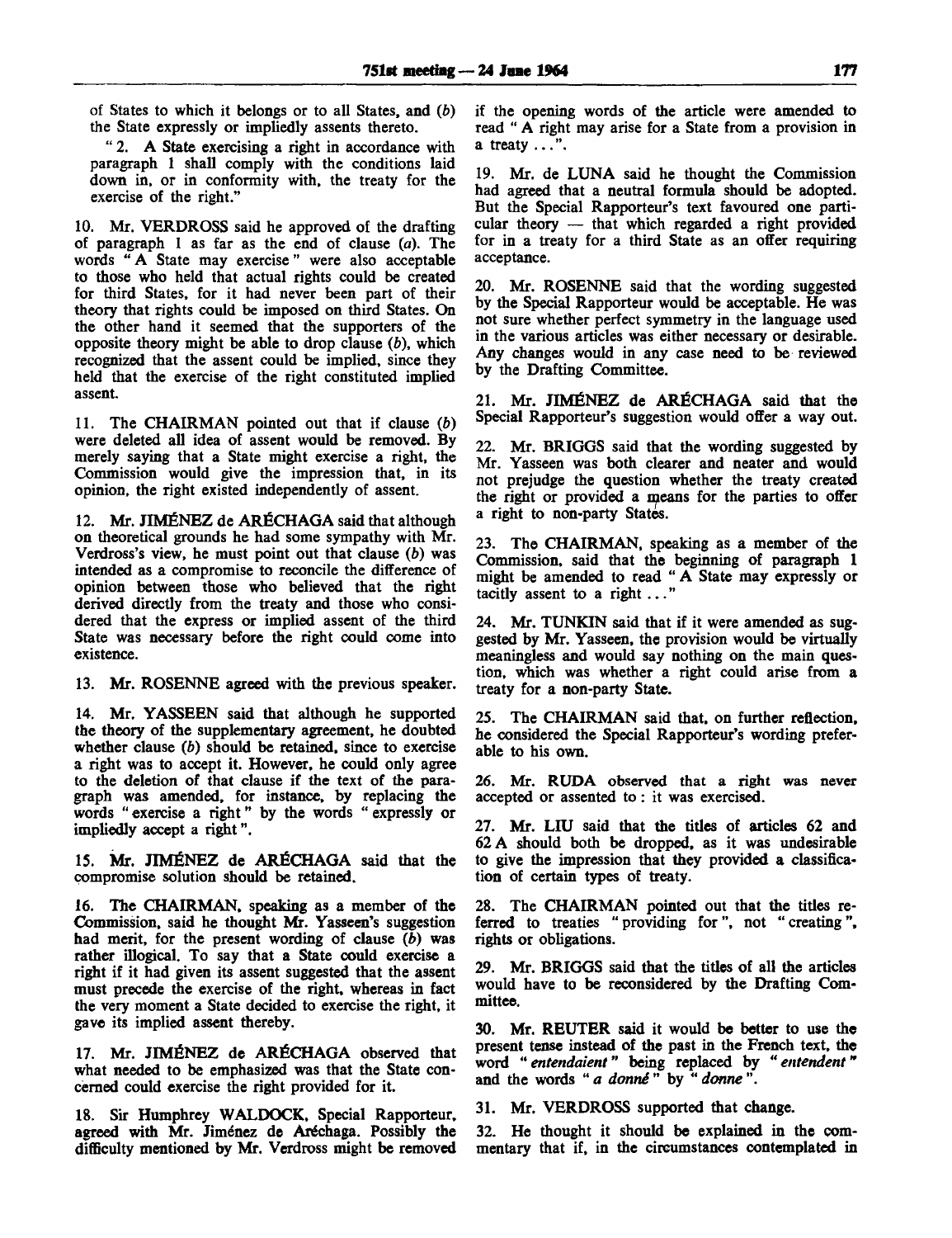of States to which it belongs or to all States, and *(b)* the State expressly or impliedly assents thereto.

" 2. A State exercising a right in accordance with paragraph 1 shall comply with the conditions laid down in, or in conformity with, the treaty for the exercise of the right."

10. Mr. VERDROSS said he approved of the drafting of paragraph 1 as far as the end of clause *(a).* The words " A State may exercise" were also acceptable to those who held that actual rights could be created for third States, for it had never been part of their theory that rights could be imposed on third States. On the other hand it seemed that the supporters of the opposite theory might be able to drop clause  $(b)$ , which recognized that the assent could be implied, since they held that the exercise of the right constituted implied assent.

11. The CHAIRMAN pointed out that if clause *(b)* were deleted all idea of assent would be removed. By merely saying that a State might exercise a right, the Commission would give the impression that, in its opinion, the right existed independently of assent.

12. Mr. JIMÉNEZ de ARÉCHAGA said that although on theoretical grounds he had some sympathy with Mr. Verdross's view, he must point out that clause *(b)* was intended as a compromise to reconcile the difference of opinion between those who believed that the right derived directly from the treaty and those who considered that the express or implied assent of the third State was necessary before the right could come into existence.

13. Mr. ROSENNE agreed with the previous speaker.

14. Mr. YASSEEN said that although he supported the theory of the supplementary agreement, he doubted whether clause *(b)* should be retained, since to exercise a right was to accept it. However, he could only agree to the deletion of that clause if the text of the paragraph was amended, for instance, by replacing the words " exercise a right" by the words " expressly or impliedly accept a right".

15. Mr. JIMENEZ de ARfiCHAGA said that the compromise solution should be retained.

16. The CHAIRMAN, speaking as a member of the Commission, said he thought Mr. Yasseen's suggestion had merit, for the present wording of clause *(b)* was rather illogical. To say that a State could exercise a right if it had given its assent suggested that the assent must precede the exercise of the right, whereas in fact the very moment a State decided to exercise the right, it gave its implied assent thereby.

17. Mr. JIMENEZ de ARfiCHAGA observed that what needed to be emphasized was that the State concerned could exercise the right provided for it.

18. Sir Humphrey WALDOCK. Special Rapporteur, agreed with Mr. Jiménez de Aréchaga. Possibly the difficulty mentioned by Mr. Verdross might be removed if the opening words of the article were amended to read " A right may arise for a State from a provision in a treaty ...".

19. Mr. de LUNA said he thought the Commission had agreed that a neutral formula should be adopted. But the Special Rapporteur's text favoured one particular theory — that which regarded a right provided for in a treaty for a third State as an offer requiring acceptance.

20. Mr. ROSENNE said that the wording suggested by the Special Rapporteur would be acceptable. He was not sure whether perfect symmetry in the language used in the various articles was either necessary or desirable. Any changes would in any case need to be reviewed by the Drafting Committee.

21. Mr. JIMENEZ de ARfiCHAGA said that the Special Rapporteur's suggestion would offer a way out.

22. Mr. BRIGGS said that the wording suggested by Mr. Yasseen was both clearer and neater and would not prejudge the question whether the treaty created the right or provided a means for the parties to offer a right to non-party States.

23. The CHAIRMAN, speaking as a member of the Commission, said that the beginning of paragraph 1 might be amended to read " A State may expressly or tacitly assent to a right ... "

24. Mr. TUNKIN said that if it were amended as suggested by Mr. Yasseen, the provision would be virtually meaningless and would say nothing on the main question, which was whether a right could arise from a treaty for a non-party State.

25. The CHAIRMAN said that, on further reflection, he considered the Special Rapporteur's wording preferable to his own.

26. Mr. RUDA observed that a right was never accepted or assented to: it was exercised.

27. Mr. LIU said that the titles of articles 62 and 62 A should both be dropped, as it was undesirable to give the impression that they provided a classification of certain types of treaty.

28. The CHAIRMAN pointed out that the titles referred to treaties " providing for", not " creating", rights or obligations.

29. Mr. BRIGGS said that the titles of all the articles would have to be reconsidered by the Drafting Committee.

30. Mr. REUTER said it would be better to use the present tense instead of the past in the French text, the word " *entendaient*" being replaced by *"entendent"* and the words " *a donne* " by " *donne* ".

31. Mr. VERDROSS supported that change.

32. He thought it should be explained in the commentary that if, in the circumstances contemplated in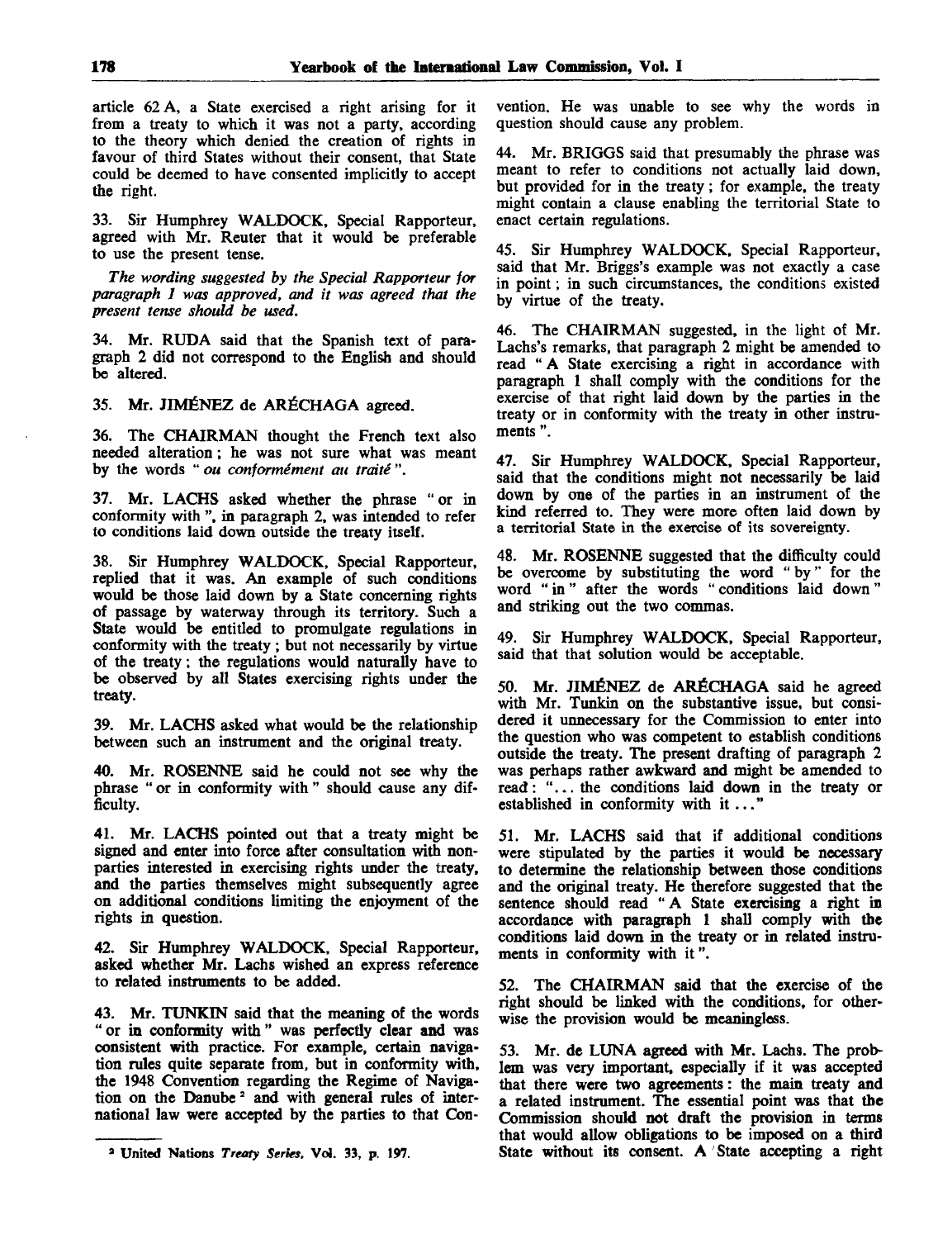article 62 A, a State exercised a right arising for it from a treaty to which it was not a party, according to the theory which denied the creation of rights in favour of third States without their consent, that State could be deemed to have consented implicitly to accept the right.

33. Sir Humphrey WALDOCK, Special Rapporteur, agreed with Mr. Reuter that it would be preferable to use the present tense.

*The wording suggested by the Special Rapporteur for paragraph 1 was approved, and it was agreed that the present tense should be used.*

34. Mr. RUDA said that the Spanish text of paragraph 2 did not correspond to the English and should be altered.

35. Mr. JIMÉNEZ de ARÉCHAGA agreed.

36. The CHAIRMAN thought the French text also needed alteration; he was not sure what was meant by the words " *ou conformement an traite* ".

37. Mr. LACHS asked whether the phrase "or in conformity with ", in paragraph 2, was intended to refer to conditions laid down outside the treaty itself.

38. Sir Humphrey WALDOCK, Special Rapporteur, replied that it was. An example of such conditions would be those laid down by a State concerning rights of passage by waterway through its territory. Such a State would be entitled to promulgate regulations in conformity with the treaty ; but not necessarily by virtue of the treaty; the regulations would naturally have to be observed by all States exercising rights under the treaty.

39. Mr. LACHS asked what would be the relationship between such an instrument and the original treaty.

40. Mr. ROSENNE said he could not see why the phrase " or in conformity with " should cause any difficulty.

41. Mr. LACHS pointed out that a treaty might be signed and enter into force after consultation with nonparties interested in exercising rights under the treaty, and the parties themselves might subsequently agree on additional conditions limiting the enjoyment of the rights in question.

42. Sir Humphrey WALDOCK, Special Rapporteur, asked whether Mr. Lachs wished an express reference to related instruments to be added.

43. Mr. TUNKIN said that the meaning of the words " or in conformity with " was perfectly clear and was consistent with practice. For example, certain navigation rules quite separate from, but in conformity with, the 1948 Convention regarding the Regime of Navigation on the Danube<sup>2</sup> and with general rules of international law were accepted by the parties to that Convention. He was unable to see why the words in question should cause any problem.

44. Mr. BRIGGS said that presumably the phrase was meant to refer to conditions not actually laid down, but provided for in the treaty; for example, the treaty might contain a clause enabling the territorial State to enact certain regulations.

45. Sir Humphrey WALDOCK, Special Rapporteur, said that Mr. Briggs's example was not exactly a case in point; in such circumstances, the conditions existed by virtue of the treaty.

46. The CHAIRMAN suggested, in the light of Mr. Lachs's remarks, that paragraph 2 might be amended to read "A State exercising a right in accordance with paragraph 1 shall comply with the conditions for the exercise of that right laid down by the parties in the treaty or in conformity with the treaty in other instruments ".

47. Sir Humphrey WALDOCK, Special Rapporteur, said that the conditions might not necessarily be laid down by one of the parties in an instrument of the kind referred to. They were more often laid down by a territorial State in the exercise of its sovereignty.

48. Mr. ROSENNE suggested that the difficulty could be overcome by substituting the word " by" for the word " in" after the words " conditions laid down" and striking out the two commas.

49. Sir Humphrey WALDOCK, Special Rapporteur, said that that solution would be acceptable.

50. Mr. JIMENEZ de ARfiCHAGA said he agreed with Mr. Tunkin on the substantive issue, but considered it unnecessary for the Commission to enter into the question who was competent to establish conditions outside the treaty. The present drafting of paragraph 2 was perhaps rather awkward and might be amended to read: "... the conditions laid down in the treaty or established in conformity with it...'

51. Mr. LACHS said that if additional conditions were stipulated by the parties it would be necessary to determine the relationship between those conditions and the original treaty. He therefore suggested that the sentence should read " A State exercising a right in accordance with paragraph 1 shall comply with the conditions laid down in the treaty or in related instruments in conformity with it".

52. The CHAIRMAN said that the exercise of the right should be linked with the conditions, for otherwise the provision would be meaningless.

53. Mr. de LUNA agreed with Mr. Lachs. The problem was very important, especially if it was accepted that there were two agreements: the main treaty and a related instrument. The essential point was that the Commission should not draft the provision in terms that would allow obligations to be imposed on a third State without its consent. A State accepting a right

**<sup>2</sup> United Nations** *Treaty Series.* **Vol. 33, p. 197.**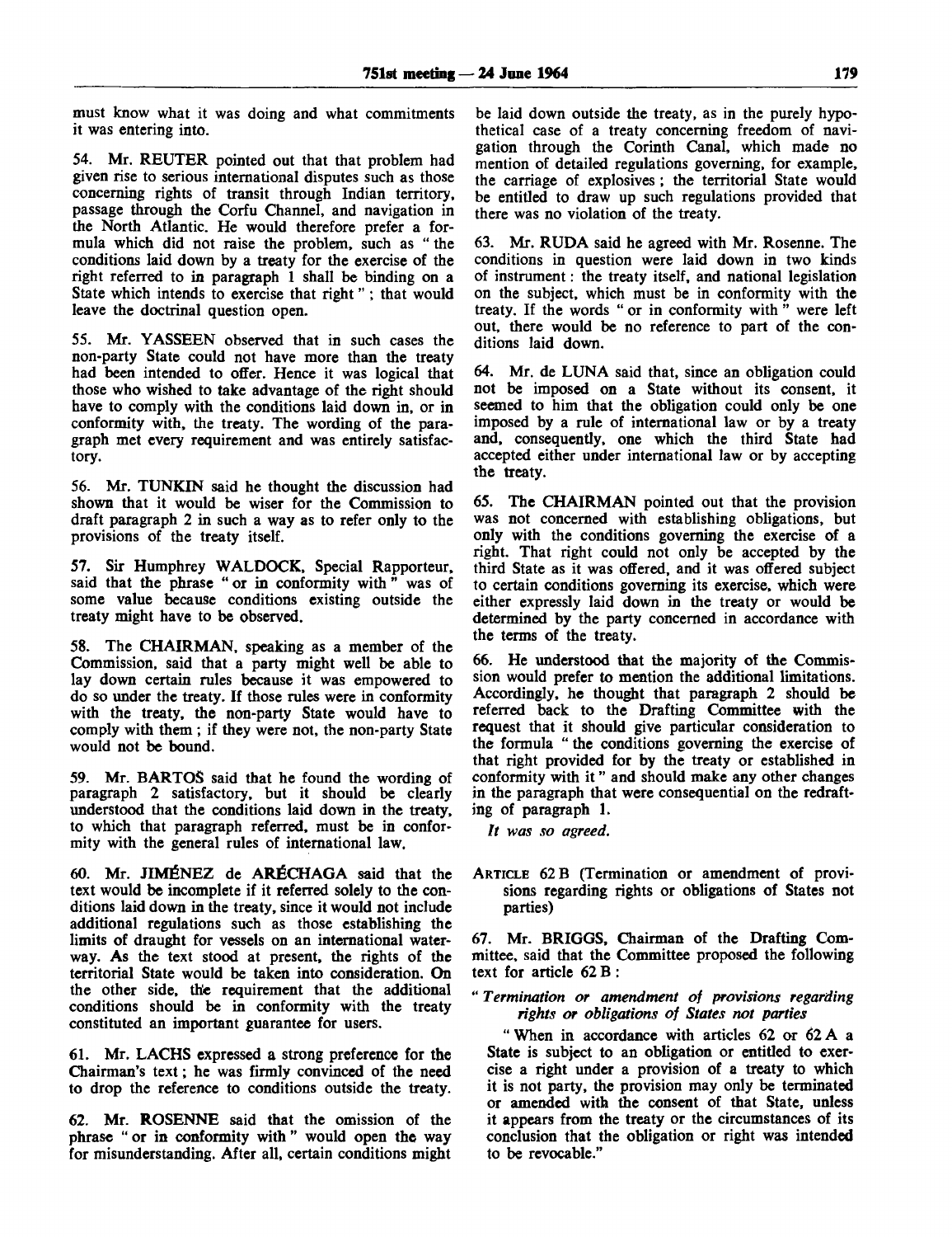must know what it was doing and what commitments it was entering into.

54. Mr. REUTER pointed out that that problem had given rise to serious international disputes such as those concerning rights of transit through Indian territory, passage through the Corfu Channel, and navigation in the North Atlantic. He would therefore prefer a formula which did not raise the problem, such as " the conditions laid down by a treaty for the exercise of the right referred to in paragraph 1 shall be binding on a State which intends to exercise that right" ; that would leave the doctrinal question open.

55. Mr. YASSEEN observed that in such cases the non-party State could not have more than the treaty had been intended to offer. Hence it was logical that those who wished to take advantage of the right should have to comply with the conditions laid down in, or in conformity with, the treaty. The wording of the paragraph met every requirement and was entirely satisfactory.

56. Mr. TUNKIN said he thought the discussion had shown that it would be wiser for the Commission to draft paragraph 2 in such a way as to refer only to the provisions of the treaty itself.

57. Sir Humphrey WALDOCK, Special Rapporteur, said that the phrase "or in conformity with" was of some value because conditions existing outside the treaty might have to be observed.

58. The CHAIRMAN, speaking as a member of the Commission, said that a party might well be able to lay down certain rules because it was empowered to do so under the treaty. If those rules were in conformity with the treaty, the non-party State would have to comply with them ; if they were not, the non-party State would not be bound.

59. Mr. BARTOS said that he found the wording of paragraph 2 satisfactory, but it should be clearly understood that the conditions laid down in the treaty, to which that paragraph referred, must be in conformity with the general rules of international law.

60. Mr. JIMENEZ de **AR^CHAGA** said that the text would be incomplete if it referred solely to the conditions laid down in the treaty, since it would not include additional regulations such as those establishing the limits of draught for vessels on an international waterway. As the text stood at present, the rights of the territorial State would be taken into consideration. On the other side, the requirement that the additional conditions should be in conformity with the treaty constituted an important guarantee for users.

61. Mr. LACHS expressed a strong preference for the Chairman's text; he was firmly convinced of the need to drop the reference to conditions outside the treaty.

62. Mr. ROSENNE said that the omission of the phrase " or in conformity with " would open the way for misunderstanding. After all, certain conditions might

be laid down outside the treaty, as in the purely hypothetical case of a treaty concerning freedom of navigation through the Corinth Canal, which made no mention of detailed regulations governing, for example, the carriage of explosives; the territorial State would be entitled to draw up such regulations provided that there was no violation of the treaty.

63. Mr. RUDA said he agreed with Mr. Rosenne. The conditions in question were laid down in two kinds of instrument: the treaty itself, and national legislation on the subject, which must be in conformity with the treaty. If the words " or in conformity with " were left out, there would be no reference to part of the conditions laid down.

64. Mr. de LUNA said that, since an obligation could not be imposed on a State without its consent, it seemed to him that the obligation could only be one imposed by a rule of international law or by a treaty and, consequently, one which the third State had accepted either under international law or by accepting the treaty.

65. The CHAIRMAN pointed out that the provision was not concerned with establishing obligations, but only with the conditions governing the exercise of a right. That right could not only be accepted by the third State as it was offered, and it was offered subject to certain conditions governing its exercise, which were either expressly laid down in the treaty or would be determined by the party concerned in accordance with the terms of the treaty.

66. He understood that the majority of the Commission would prefer to mention the additional limitations. Accordingly, he thought that paragraph 2 should be referred back to the Drafting Committee with the request that it should give particular consideration to the formula " the conditions governing the exercise of that right provided for by the treaty or established in conformity with it " and should make any other changes in the paragraph that were consequential on the redrafting of paragraph 1.

**//** *was so agreed.*

ARTICLE 62 B (Termination or amendment of provisions regarding rights or obligations of States not parties)

67. Mr. BRIGGS, Chairman of the Drafting Committee, said that the Committee proposed the following text for article 62 B :

**"** *Termination or amendment of provisions regarding rights or obligations of States not parties*

*"* When in accordance with articles 62 or 62 A a State is subject to an obligation or entitled to exercise a right under a provision of a treaty to which it is not party, the provision may only be terminated or amended with the consent of that State, unless it appears from the treaty or the circumstances of its conclusion that the obligation or right was intended to be revocable."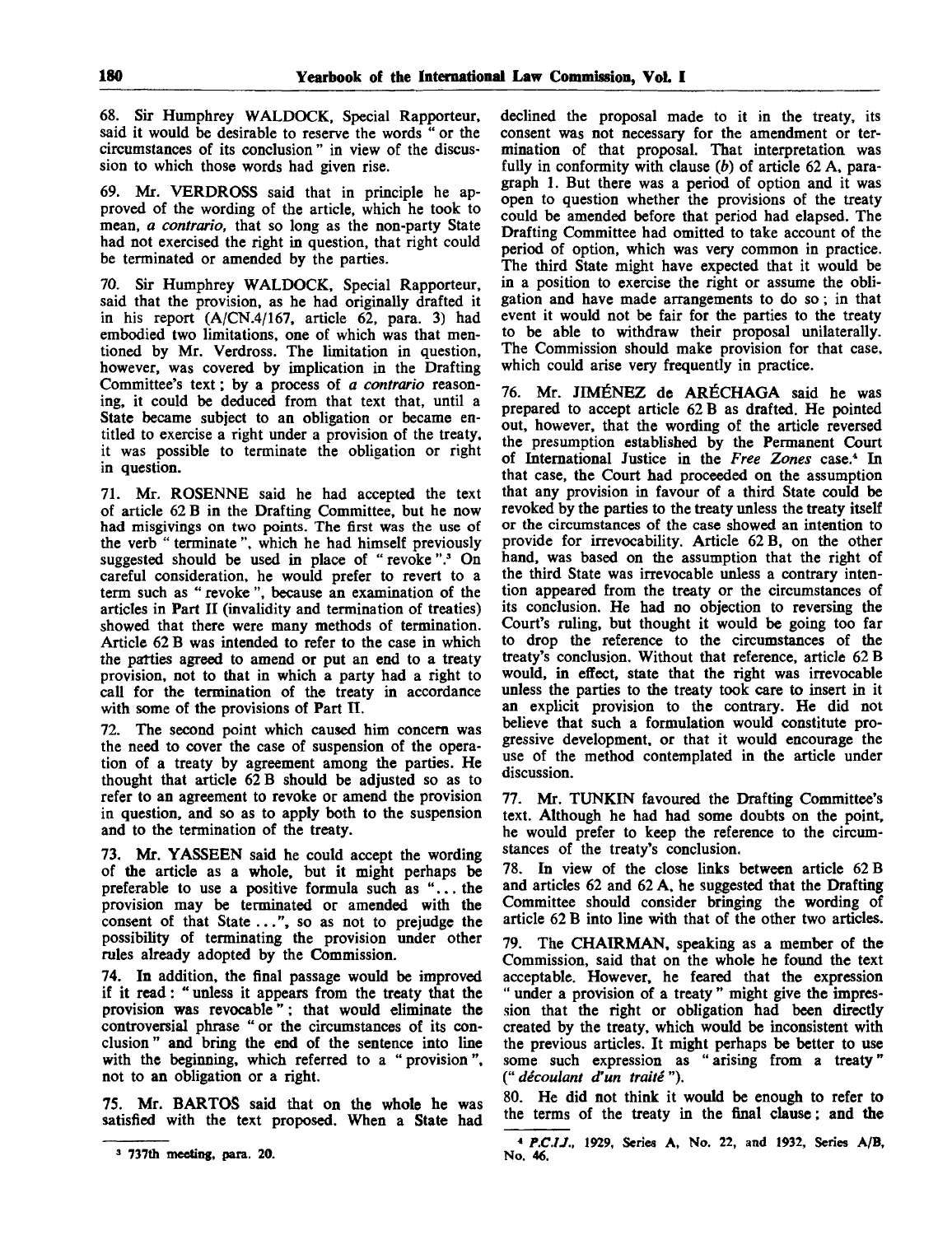68. Sir Humphrey WALDOCK, Special Rapporteur, said it would be desirable to reserve the words " or the circumstances of its conclusion " in view of the discussion to which those words had given rise.

69. Mr. VERDROSS said that in principle he approved of the wording of the article, which he took to mean, *a contrario,* that so long as the non-party State had not exercised the right in question, that right could be terminated or amended by the parties.

70. Sir Humphrey WALDOCK, Special Rapporteur, said that the provision, as he had originally drafted it in his report (A/CN.4/167, article 62, para. 3) had embodied two limitations, one of which was that mentioned by Mr. Verdross. The limitation in question, however, was covered by implication in the Drafting Committee's text; by a process of *a contrario* reasoning, it could be deduced from that text that, until a State became subject to an obligation or became entitled to exercise a right under a provision of the treaty, it was possible to terminate the obligation or right in question.

71. Mr. ROSENNE said he had accepted the text of article 62 B in the Drafting Committee, but he now had misgivings on two points. The first was the use of the verb " terminate ", which he had himself previously suggested should be used in place of "revoke".<sup>3</sup> On careful consideration, he would prefer to revert to a term such as " revoke ", because an examination of the articles in Part II (invalidity and termination of treaties) showed that there were many methods of termination. Article 62 B was intended to refer to the case in which the patties agreed to amend or put an end to a treaty provision, not to that in which a party had a right to call for the termination of the treaty in accordance with some of the provisions of Part II.

72. The second point which caused him concern was the need to cover the case of suspension of the operation of a treaty by agreement among the parties. He thought that article 62 B should be adjusted so as to refer to an agreement to revoke or amend the provision in question, and so as to apply both to the suspension and to the termination of the treaty.

73. Mr. YASSEEN said he could accept the wording of the article as a whole, but it might perhaps be preferable to use a positive formula such as "... the provision may be terminated or amended with the consent of that State ...", so as not to prejudge the possibility of terminating the provision under other rules already adopted by the Commission.

74. In addition, the final passage would be improved if it read: " unless it appears from the treaty that the provision was revocable"; that would eliminate the controversial phrase "or the circumstances of its conclusion" and bring the end of the sentence into line with the beginning, which referred to a " provision", not to an obligation or a right.

75. Mr. BARTOS said that on the whole he was satisfied with the text proposed. When a State had declined the proposal made to it in the treaty, its consent was not necessary for the amendment or termination of that proposal. That interpretation was fully in conformity with clause *(b)* of article 62 A, paragraph 1. But there was a period of option and it was open to question whether the provisions of the treaty could be amended before that period had elapsed. The Drafting Committee had omitted to take account of the period of option, which was very common in practice. The third State might have expected that it would be in a position to exercise the right or assume the obligation and have made arrangements to do so; in that event it would not be fair for the parties to the treaty to be able to withdraw their proposal unilaterally. The Commission should make provision for that case, which could arise very frequently in practice.

76. Mr. JIMENEZ de ARECHAGA said he was prepared to accept article 62 B as drafted. He pointed out, however, that the wording of the article reversed the presumption established by the Permanent Court of International Justice in the *Free Zones* case.<sup>4</sup> In that case, the Court had proceeded on the assumption that any provision in favour of a third State could be revoked by the parties to the treaty unless the treaty itself or the circumstances of the case showed an intention to provide for irrevocability. Article 62 B, on the other hand, was based on the assumption that the right of the third State was irrevocable unless a contrary intention appeared from the treaty or the circumstances of its conclusion. He had no objection to reversing the Court's ruling, but thought it would be going too far to drop the reference to the circumstances of the treaty's conclusion. Without that reference, article 62 B would, in effect, state that the right was irrevocable unless the parties to the treaty took care to insert in it an explicit provision to the contrary. He did not believe that such a formulation would constitute progressive development, or that it would encourage the use of the method contemplated in the article under discussion.

77. Mr. TUNKIN favoured the Drafting Committee's text. Although he had had some doubts on the point, he would prefer to keep the reference to the circumstances of the treaty's conclusion.

78. In view of the close links between article 62 B and articles 62 and 62 A, he suggested that the Drafting Committee should consider bringing the wording of article 62 B into line with that of the other two articles.

79. The CHAIRMAN, speaking as a member of the Commission, said that on the whole he found the text acceptable. However, he feared that the expression " under a provision of a treaty " might give the impression that the right or obligation had been directly created by the treaty, which would be inconsistent with the previous articles. It might perhaps be better to use some such expression as "arising from a treaty" **("** *decoulant d'un traite").*

80. He did not think it would be enough to refer to the terms of the treaty in the final clause; and the

**<sup>3</sup> 737th meeting, para. 20.**

<sup>4</sup>  *P.C.U.,* 1929, Series A, No. 22, and 1932, Series A/B, No. 46.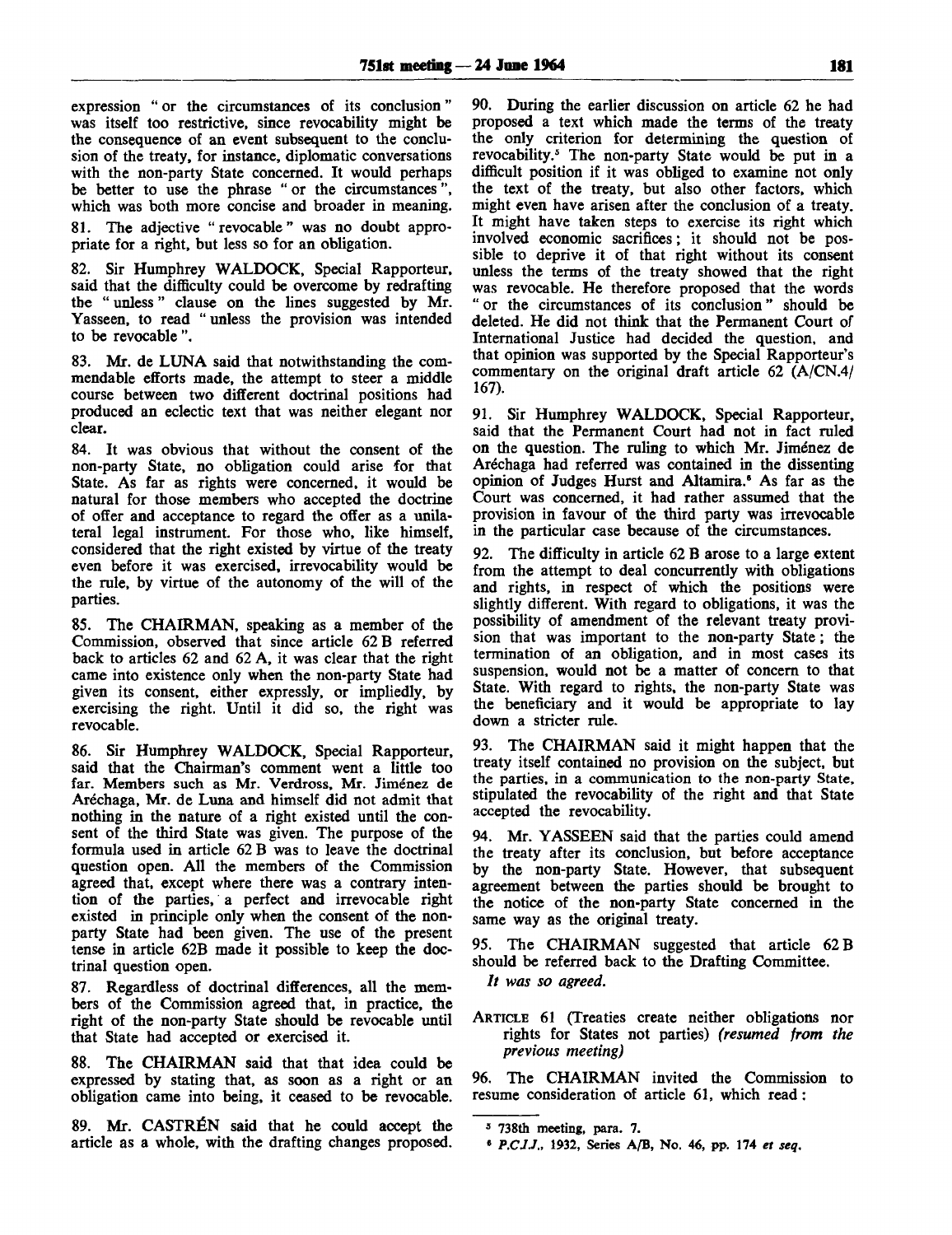expression " or the circumstances of its conclusion" was itself too restrictive, since revocability might be the consequence of an event subsequent to the conclusion of the treaty, for instance, diplomatic conversations with the non-party State concerned. It would perhaps be better to use the phrase " or the circumstances", which was both more concise and broader in meaning.

81. The adjective "revocable" was no doubt appropriate for a right, but less so for an obligation.

82. Sir Humphrey WALDOCK, Special Rapporteur, said that the difficulty could be overcome by redrafting the " unless" clause on the lines suggested by Mr. Yasseen, to read " unless the provision was intended to be revocable ".

83. Mr. de LUNA said that notwithstanding the commendable efforts made, the attempt to steer a middle course between two different doctrinal positions had produced an eclectic text that was neither elegant nor clear.

84. It was obvious that without the consent of the non-party State, no obligation could arise for that State. As far as rights were concerned, it would be natural for those members who accepted the doctrine of offer and acceptance to regard the offer as a unilateral legal instrument. For those who, like himself, considered that the right existed by virtue of the treaty even before it was exercised, irrevocability would be the rule, by virtue of the autonomy of the will of the parties.

85. The CHAIRMAN, speaking as a member of the Commission, observed that since article 62 B referred back to articles 62 and 62 A, it was clear that the right came into existence only when the non-party State had given its consent, either expressly, or impliedly, by exercising the right. Until it did so, the right was revocable.

86. Sir Humphrey WALDOCK, Special Rapporteur, said that the Chairman's comment went a little too far. Members such as Mr. Verdross, Mr. Jiménez de Aréchaga, Mr. de Luna and himself did not admit that nothing in the nature of a right existed until the consent of the third State was given. The purpose of the formula used in article 62 B was to leave the doctrinal question open. All the members of the Commission agreed that, except where there was a contrary intention of the parties, a perfect and irrevocable right existed in principle only when the consent of the nonparty State had been given. The use of the present tense in article 62B made it possible to keep the doctrinal question open.

87. Regardless of doctrinal differences, all the members of the Commission agreed that, in practice, the right of the non-party State should be revocable until that State had accepted or exercised it.

88. The CHAIRMAN said that that idea could be expressed by stating that, as soon as a right or an obligation came into being, it ceased to be revocable.

89. Mr. CASTRÉN said that he could accept the article as a whole, with the drafting changes proposed. 90. During the earlier discussion on article 62 he had proposed a text which made the terms of the treaty the only criterion for determining the question of revocability.<sup>5</sup> The non-party State would be put in a difficult position if it was obliged to examine not only the text of the treaty, but also other factors, which might even have arisen after the conclusion of a treaty. It might have taken steps to exercise its right which involved economic sacrifices; it should not be possible to deprive it of that right without its consent unless the terms of the treaty showed that the right was revocable. He therefore proposed that the words " or the circumstances of its conclusion" should be deleted. He did not think that the Permanent Court of International Justice had decided the question, and that opinion was supported by the Special Rapporteur's commentary on the original draft article 62 (A/CN.4/ 167).

91. Sir Humphrey WALDOCK, Special Rapporteur, said that the Permanent Court had not in fact ruled on the question. The ruling to which Mr. Jiménez de Arechaga had referred was contained in the dissenting opinion of Judges Hurst and Altamira.<sup>6</sup> As far as the Court was concerned, it had rather assumed that the provision in favour of the third party was irrevocable in the particular case because of the circumstances.

92. The difficulty in article 62 B arose to a large extent from the attempt to deal concurrently with obligations and rights, in respect of which the positions were slightly different. With regard to obligations, it was the possibility of amendment of the relevant treaty provision that was important to the non-party State; the termination of an obligation, and in most cases its suspension, would not be a matter of concern to that State. With regard to rights, the non-party State was the beneficiary and it would be appropriate to lay down a stricter rule.

93. The CHAIRMAN said it might happen that the treaty itself contained no provision on the subject, but the parties, in a communication to the non-party State, stipulated the revocability of the right and that State accepted the revocability.

94. Mr. YASSEEN said that the parties could amend the treaty after its conclusion, but before acceptance by the non-party State. However, that subsequent agreement between the parties should be brought to the notice of the non-party State concerned in the same way as the original treaty.

95. The CHAIRMAN suggested that article 62 B should be referred back to the Drafting Committee.

// *was so agreed.*

ARTICLE 61 (Treaties create neither obligations nor rights for States not parties) *(resumed from the previous meeting)*

96. The CHAIRMAN invited the Commission to resume consideration of article 61, which read:

<sup>5</sup> 738th meeting, para. 7.

<sup>6</sup>  *P.C.I.J.,* 1932, Series A/B, No. 46, pp. 174 *et seq.*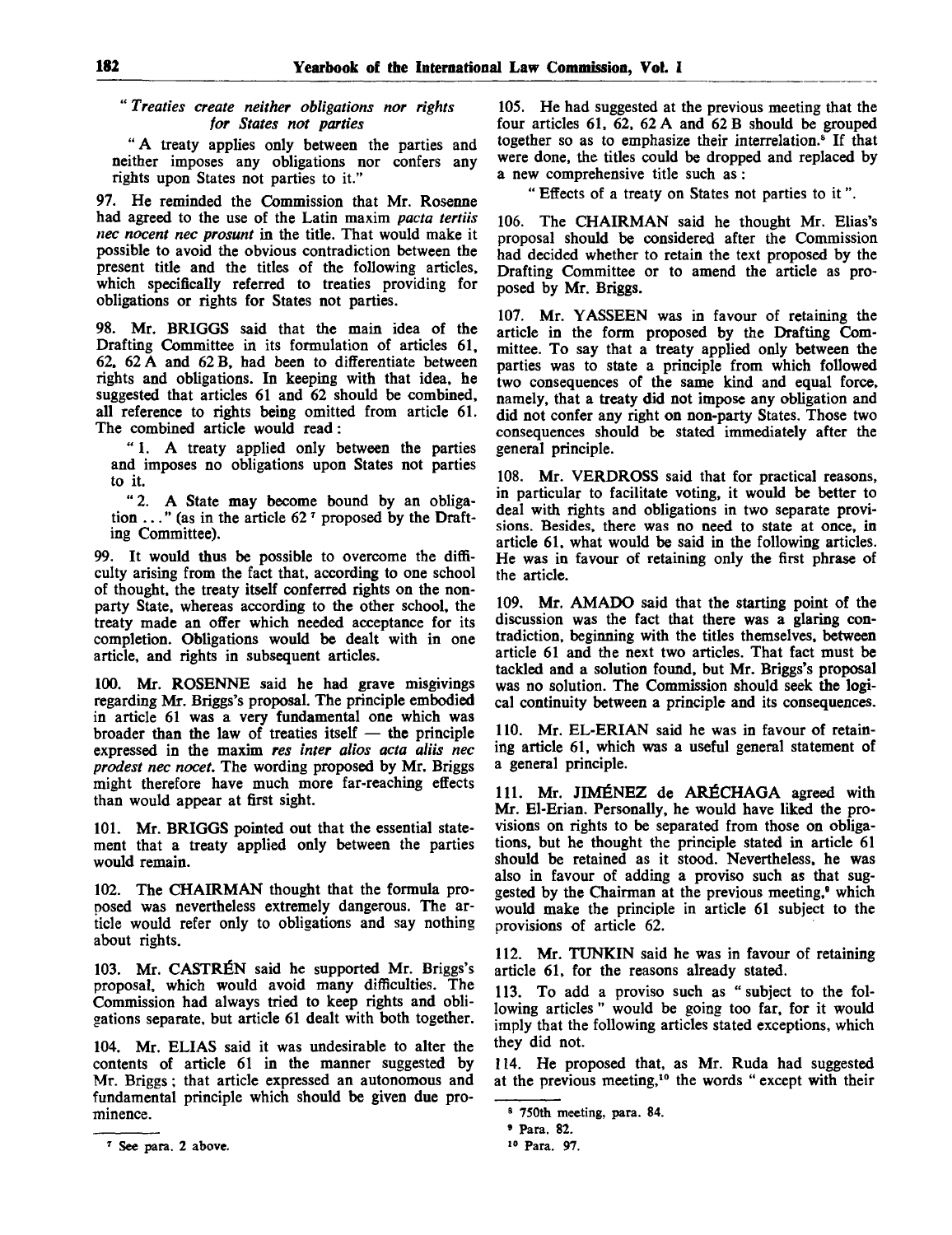## " *Treaties create neither obligations nor rights for States not parties*

*"A* treaty applies only between the parties and neither imposes any obligations nor confers any rights upon States not parties to it."

97. He reminded the Commission that Mr. Rosenne had agreed to the use of the Latin maxim *pacta tertiis nee nocent nee prosunt* in the title. That would make it possible to avoid the obvious contradiction between the present title and the titles of the following articles, which specifically referred to treaties providing for obligations or rights for States not parties.

98. Mr. BRIGGS said that the main idea of the Drafting Committee in its formulation of articles 61, 62, 62 A and 62 B, had been to differentiate between rights and obligations. In keeping with that idea, he suggested that articles 61 and 62 should be combined, all reference to rights being omitted from article 61. The combined article would read:

" 1. A treaty applied only between the parties and imposes no obligations upon States not parties to it.

" 2. A State may become bound by an obligation  $\ldots$ " (as in the article 62<sup> $\tau$ </sup> proposed by the Drafting Committee).

99. It would thus be possible to overcome the difficulty arising from the fact that, according to one school of thought, the treaty itself conferred rights on the nonparty State, whereas according to the other school, the treaty made an offer which needed acceptance for its completion. Obligations would be dealt with in one article, and rights in subsequent articles.

100. Mr. ROSENNE said he had grave misgivings regarding Mr. Briggs's proposal. The principle embodied in article 61 was a very fundamental one which was broader than the law of treaties itself — the principle expressed in the maxim *res inter alios acta aliis nee prodest nee nocet.* The wording proposed by Mr. Briggs might therefore have much more far-reaching effects than would appear at first sight.

101. Mr. BRIGGS pointed out that the essential statement that a treaty applied only between the parties would remain.

102. The CHAIRMAN thought that the formula proposed was nevertheless extremely dangerous. The article would refer only to obligations and say nothing about rights.

103. Mr. CASTRÉN said he supported Mr. Briggs's proposal, which would avoid many difficulties. The Commission had always tried to keep rights and obligations separate, but article 61 dealt with both together.

104. Mr. ELIAS said it was undesirable to alter the contents of article 61 in the manner suggested by Mr. Briggs; that article expressed an autonomous and fundamental principle which should be given due prominence.

105. He had suggested at the previous meeting that the four articles 61, 62, 62 A and 62 B should be grouped together so as to emphasize their interrelation.<sup>8</sup> If that were done, the titles could be dropped and replaced by a new comprehensive title such as :

" Effects of a treaty on States not parties to it".

106. The CHAIRMAN said he thought Mr. Elias's proposal should be considered after the Commission had decided whether to retain the text proposed by the Drafting Committee or to amend the article as proposed by Mr. Briggs.

107. Mr. YASSEEN was in favour of retaining the article in the form proposed by the Drafting Committee. To say that a treaty applied only between the parties was to state a principle from which followed two consequences of the same kind and equal force, namely, that a treaty did not impose any obligation and did not confer any right on non-party States. Those two consequences should be stated immediately after the general principle.

108. Mr. VERDROSS said that for practical reasons, in particular to facilitate voting, it would be better to deal with rights and obligations in two separate provisions. Besides, there was no need to state at once, in article 61, what would be said in the following articles. He was in favour of retaining only the first phrase of the article.

109. Mr. AMADO said that the starting point of the discussion was the fact that there was a glaring contradiction, beginning with the titles themselves, between article 61 and the next two articles. That fact must be tackled and a solution found, but Mr. Briggs's proposal was no solution. The Commission should seek the logical continuity between a principle and its consequences.

110. Mr. EL-ERIAN said he was in favour of retaining article 61, which was a useful general statement of a general principle.

111. Mr. JIMÉNEZ de ARÉCHAGA agreed with Mr. El-Erian. Personally, he would have liked the provisions on rights to be separated from those on obligations, but he thought the principle stated in article 61 should be retained as it stood. Nevertheless, he was also in favour of adding a proviso such as that suggested by the Chairman at the previous meeting,<sup>9</sup> which would make the principle in article 61 subject to the provisions of article 62.

112. Mr. TUNKIN said he was in favour of retaining article 61, for the reasons already stated.

113. To add a proviso such as "subject to the following articles" would be going too far, for it would imply that the following articles stated exceptions, which they did not.

114. He proposed that, as Mr. Ruda had suggested at the previous meeting,<sup>10</sup> the words " except with their

<sup>7</sup> See para. 2 above.

<sup>8</sup> 750th meeting, para. 84.

<sup>9</sup> Para. 82.

<sup>10</sup> Para. 97.